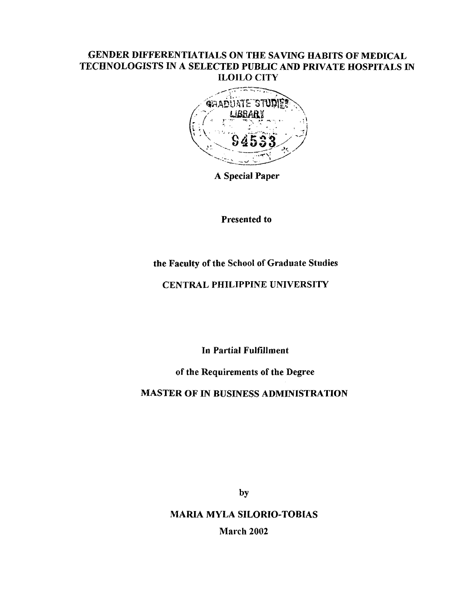## **GENDER DIFFERENTIATIALS ON THE SAVING HABITS OF MEDICAL TECHNOLOGISTS IN A SELECTED PUBLIC AND PRIVATE HOSPITALS IN ILOILO CITY**



**A Special Paper**

**Presented to**

# **the Faculty of the School of Graduate Studies**

## **CENTRAL PHILIPPINE UNIVERSITY**

**In Partial Fulfillment**

**of the Requirements of the Degree**

**MASTER OF IN BUSINESS ADMINISTRATION**

by

**MARIA MYLA SILORIO-TOBIAS March 2002**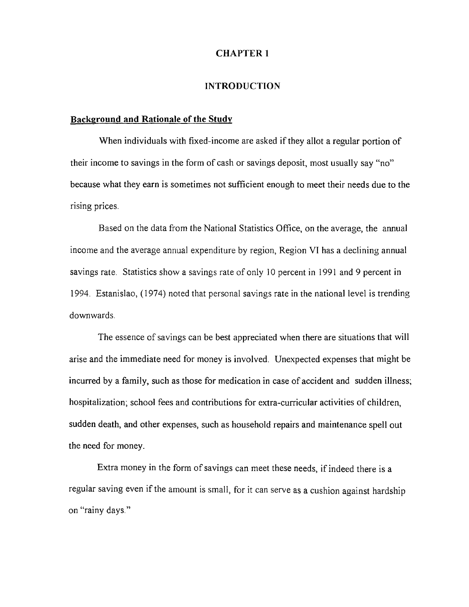#### **CHAPTER 1**

#### **INTRODUCTION**

#### **Background and Rationale of the Study**

When individuals with fixed-income are asked if they allot a regular portion of their income to savings in the form of cash or savings deposit, most usually say "no" because what they earn is sometimes not sufficient enough to meet their needs due to the rising prices.

Based on the data from the National Statistics Office, on the average, the annual income and the average annual expenditure by region, Region VI has a declining annual savings rate. Statistics show a savings rate of only 10 percent in 1991 and 9 percent in 1994. Estanislao, (1974) noted that personal savings rate in the national level is trending downwards.

The essence of savings can be best appreciated when there are situations that will arise and the immediate need for money is involved. Unexpected expenses that might be incurred by a family, such as those for medication in case of accident and sudden illness; hospitalization; school fees and contributions for extra-curricular activities of children, sudden death, and other expenses, such as household repairs and maintenance spell out the need for money.

Extra money in the form of savings can meet these needs, if indeed there is a regular saving even if the amount is small, for it can serve as a cushion against hardship on "rainy days."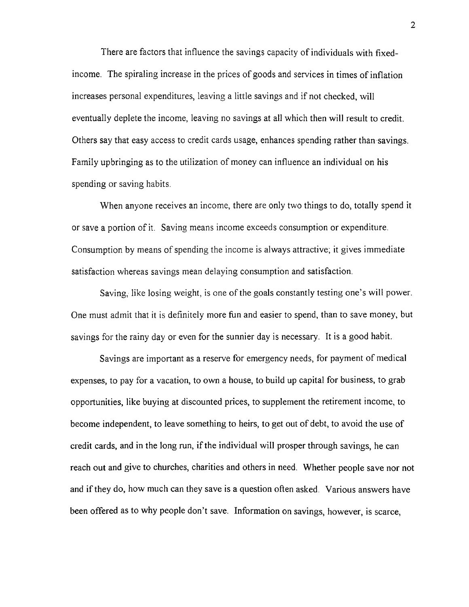There are factors that influence the savings capacity of individuals with fixedincome. The spiraling increase in the prices of goods and services in times of inflation increases personal expenditures, leaving a little savings and if not checked, will eventually deplete the income, leaving no savings at all which then will result to credit. Others say that easy access to credit cards usage, enhances spending rather than savings. Family upbringing as to the utilization of money can influence an individual on his spending or saving habits.

When anyone receives an income, there are only two things to do, totally spend it or save a portion of it. Saving means income exceeds consumption or expenditure. Consumption by means of spending the income is always attractive; it gives immediate satisfaction whereas savings mean delaying consumption and satisfaction.

Saving, like losing weight, is one of the goals constantly testing one's will power. One must admit that it is definitely more fun and easier to spend, than to save money, but savings for the rainy day or even for the sunnier day is necessary. It is a good habit.

Savings are important as a reserve for emergency needs, for payment of medical expenses, to pay for a vacation, to own a house, to build up capital for business, to grab opportunities, like buying at discounted prices, to supplement the retirement income, to become independent, to leave something to heirs, to get out of debt, to avoid the use of credit cards, and in the long run, if the individual will prosper through savings, he can reach out and give to churches, charities and others in need. Whether people save nor not and if they do, how much can they save is a question often asked. Various answers have been offered as to why people don't save. Information on savings, however, is scarce,